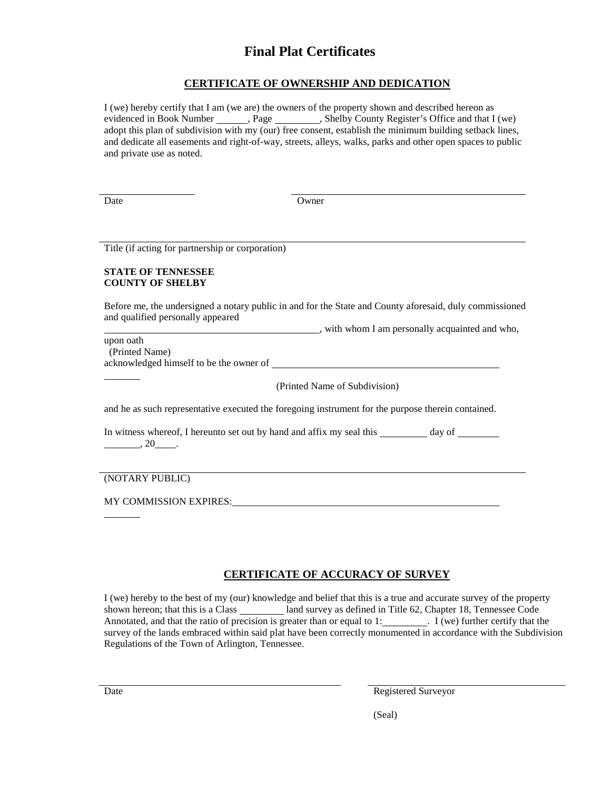# **Final Plat Certificates**

### **CERTIFICATE OF OWNERSHIP AND DEDICATION**

I (we) hereby certify that I am (we are) the owners of the property shown and described hereon as evidenced in Book Number \_\_\_\_\_\_, Page \_\_\_\_\_\_\_, Shelby County Register's Office and that I (we) adopt this plan of subdivision with my (our) free consent, establish the minimum building setback lines, and dedicate all easements and right-of-way, streets, alleys, walks, parks and other open spaces to public and private use as noted.

Date Owner

Title (if acting for partnership or corporation)

#### **STATE OF TENNESSEE COUNTY OF SHELBY**

Before me, the undersigned a notary public in and for the State and County aforesaid, duly commissioned and qualified personally appeared

with whom I am personally acquainted and who,

upon oath (Printed Name) acknowledged himself to be the owner of

(Printed Name of Subdivision)

and he as such representative executed the foregoing instrument for the purpose therein contained.

In witness whereof, I hereunto set out by hand and affix my seal this \_\_\_\_\_\_\_\_ day of \_\_\_\_\_\_\_  $\frac{1}{20}$ ,  $20$ 

(NOTARY PUBLIC)

MY COMMISSION EXPIRES:

## **CERTIFICATE OF ACCURACY OF SURVEY**

I (we) hereby to the best of my (our) knowledge and belief that this is a true and accurate survey of the property shown hereon; that this is a Class land survey as defined in Title 62, Chapter 18, Tennessee Code Annotated, and that the ratio of precision is greater than or equal to 1:  $\overline{I}$  (we) further certify that the survey of the lands embraced within said plat have been correctly monumented in accordance with the Subdivision Regulations of the Town of Arlington, Tennessee.

Date Registered Surveyor

(Seal)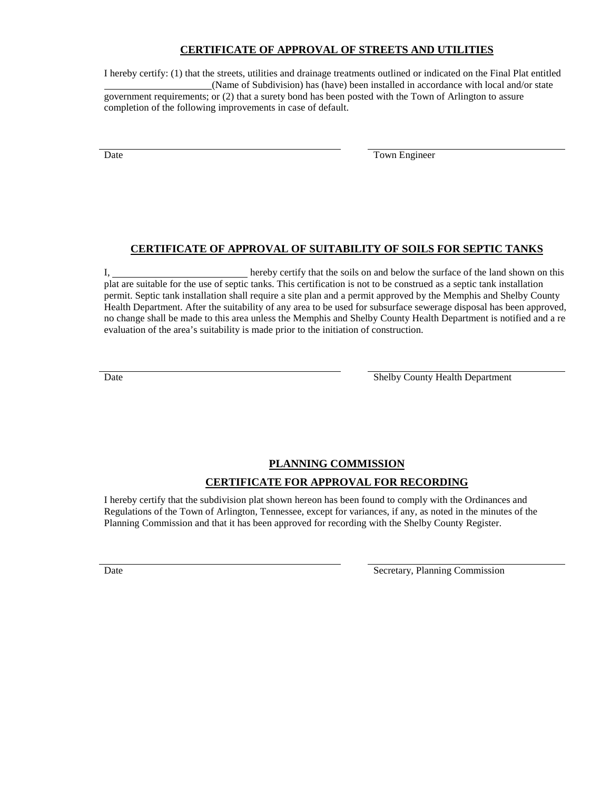### **CERTIFICATE OF APPROVAL OF STREETS AND UTILITIES**

I hereby certify: (1) that the streets, utilities and drainage treatments outlined or indicated on the Final Plat entitled (Name of Subdivision) has (have) been installed in accordance with local and/or state government requirements; or (2) that a surety bond has been posted with the Town of Arlington to assure completion of the following improvements in case of default.

Date Town Engineer

### **CERTIFICATE OF APPROVAL OF SUITABILITY OF SOILS FOR SEPTIC TANKS**

I, hereby certify that the soils on and below the surface of the land shown on this plat are suitable for the use of septic tanks. This certification is not to be construed as a septic tank installation permit. Septic tank installation shall require a site plan and a permit approved by the Memphis and Shelby County Health Department. After the suitability of any area to be used for subsurface sewerage disposal has been approved, no change shall be made to this area unless the Memphis and Shelby County Health Department is notified and a reevaluation of the area's suitability is made prior to the initiation of construction.

Date Shelby County Health Department

## **PLANNING COMMISSION CERTIFICATE FOR APPROVAL FOR RECORDING**

I hereby certify that the subdivision plat shown hereon has been found to comply with the Ordinances and Regulations of the Town of Arlington, Tennessee, except for variances, if any, as noted in the minutes of the Planning Commission and that it has been approved for recording with the Shelby County Register.

Date Secretary, Planning Commission